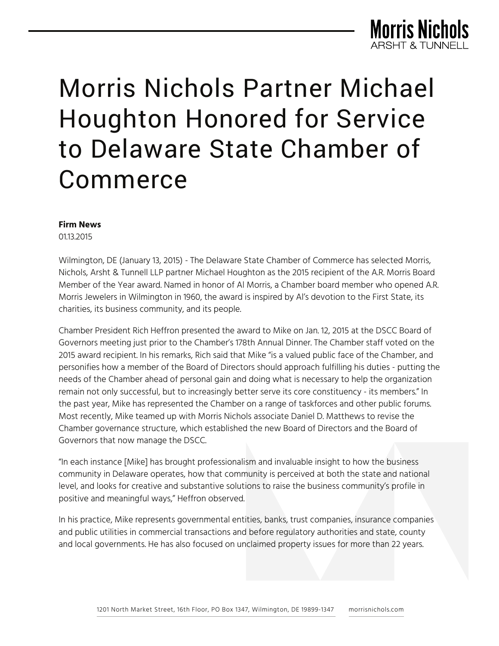

# Morris Nichols Partner Michael Houghton Honored for Service to Delaware State Chamber of Commerce

#### **Firm News**

01.13.2015

Wilmington, DE (January 13, 2015) - The Delaware State Chamber of Commerce has selected Morris, Nichols, Arsht & Tunnell LLP partner Michael Houghton as the 2015 recipient of the A.R. Morris Board Member of the Year award. Named in honor of Al Morris, a Chamber board member who opened A.R. Morris Jewelers in Wilmington in 1960, the award is inspired by Al's devotion to the First State, its charities, its business community, and its people.

Chamber President Rich Heffron presented the award to Mike on Jan. 12, 2015 at the DSCC Board of Governors meeting just prior to the Chamber's 178th Annual Dinner. The Chamber staff voted on the 2015 award recipient. In his remarks, Rich said that Mike "is a valued public face of the Chamber, and personifies how a member of the Board of Directors should approach fulfilling his duties - putting the needs of the Chamber ahead of personal gain and doing what is necessary to help the organization remain not only successful, but to increasingly better serve its core constituency - its members." In the past year, Mike has represented the Chamber on a range of taskforces and other public forums. Most recently, Mike teamed up with Morris Nichols associate Daniel D. Matthews to revise the Chamber governance structure, which established the new Board of Directors and the Board of Governors that now manage the DSCC.

"In each instance [Mike] has brought professionalism and invaluable insight to how the business community in Delaware operates, how that community is perceived at both the state and national level, and looks for creative and substantive solutions to raise the business community's profile in positive and meaningful ways," Heffron observed.

In his practice, Mike represents governmental entities, banks, trust companies, insurance companies and public utilities in commercial transactions and before regulatory authorities and state, county and local governments. He has also focused on unclaimed property issues for more than 22 years.